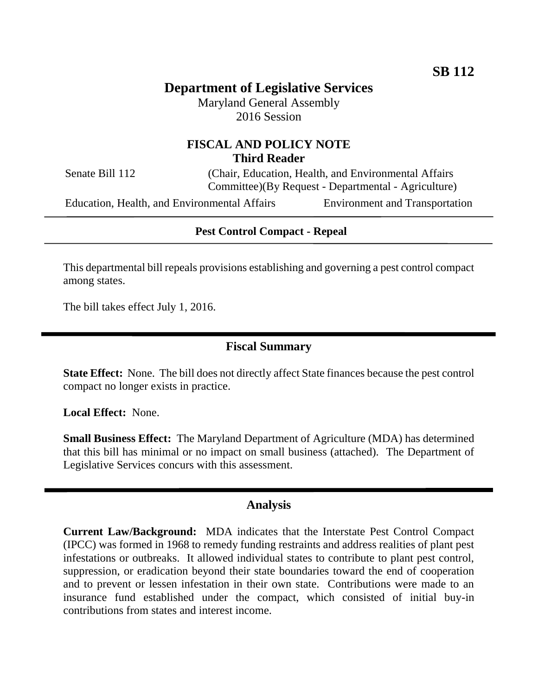# **Department of Legislative Services**

Maryland General Assembly 2016 Session

### **FISCAL AND POLICY NOTE Third Reader**

Senate Bill 112 (Chair, Education, Health, and Environmental Affairs Committee)(By Request - Departmental - Agriculture)

Education, Health, and Environmental Affairs Environment and Transportation

#### **Pest Control Compact - Repeal**

This departmental bill repeals provisions establishing and governing a pest control compact among states.

The bill takes effect July 1, 2016.

#### **Fiscal Summary**

**State Effect:** None. The bill does not directly affect State finances because the pest control compact no longer exists in practice.

**Local Effect:** None.

**Small Business Effect:** The Maryland Department of Agriculture (MDA) has determined that this bill has minimal or no impact on small business (attached). The Department of Legislative Services concurs with this assessment.

#### **Analysis**

**Current Law/Background:** MDA indicates that the Interstate Pest Control Compact (IPCC) was formed in 1968 to remedy funding restraints and address realities of plant pest infestations or outbreaks. It allowed individual states to contribute to plant pest control, suppression, or eradication beyond their state boundaries toward the end of cooperation and to prevent or lessen infestation in their own state. Contributions were made to an insurance fund established under the compact, which consisted of initial buy-in contributions from states and interest income.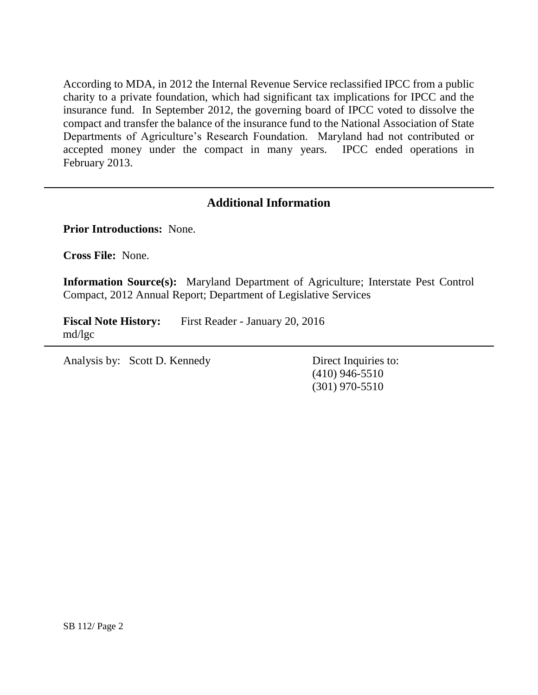According to MDA, in 2012 the Internal Revenue Service reclassified IPCC from a public charity to a private foundation, which had significant tax implications for IPCC and the insurance fund. In September 2012, the governing board of IPCC voted to dissolve the compact and transfer the balance of the insurance fund to the National Association of State Departments of Agriculture's Research Foundation. Maryland had not contributed or accepted money under the compact in many years. IPCC ended operations in February 2013.

### **Additional Information**

**Prior Introductions:** None.

**Cross File:** None.

**Information Source(s):** Maryland Department of Agriculture; Interstate Pest Control Compact, 2012 Annual Report; Department of Legislative Services

**Fiscal Note History:** First Reader - January 20, 2016 md/lgc

Analysis by: Scott D. Kennedy Direct Inquiries to:

(410) 946-5510 (301) 970-5510